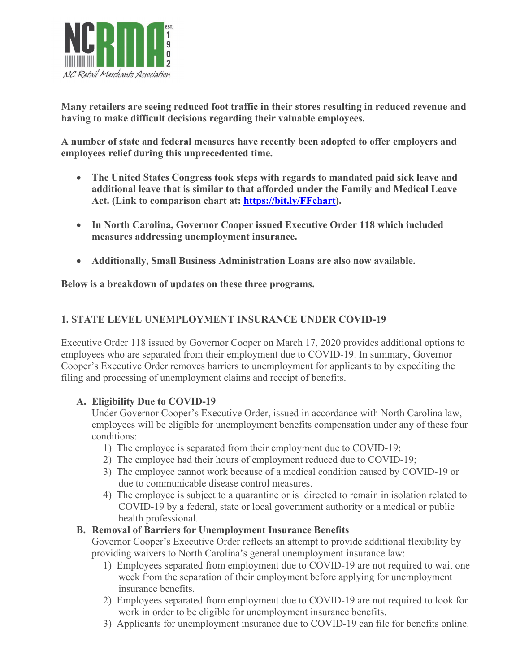

**Many retailers are seeing reduced foot traffic in their stores resulting in reduced revenue and having to make difficult decisions regarding their valuable employees.** 

**A number of state and federal measures have recently been adopted to offer employers and employees relief during this unprecedented time.** 

- **The United States Congress took steps with regards to mandated paid sick leave and additional leave that is similar to that afforded under the Family and Medical Leave Act. (Link to comparison chart at: [https://bit.ly/FFchart\)](https://bit.ly/FFchart).**
- **In North Carolina, Governor Cooper issued Executive Order 118 which included measures addressing unemployment insurance.**
- **Additionally, Small Business Administration Loans are also now available.**

**Below is a breakdown of updates on these three programs.** 

### **1. STATE LEVEL UNEMPLOYMENT INSURANCE UNDER COVID-19**

Executive Order 118 issued by Governor Cooper on March 17, 2020 provides additional options to employees who are separated from their employment due to COVID-19. In summary, Governor Cooper's Executive Order removes barriers to unemployment for applicants to by expediting the filing and processing of unemployment claims and receipt of benefits.

### **A. Eligibility Due to COVID-19**

Under Governor Cooper's Executive Order, issued in accordance with North Carolina law, employees will be eligible for unemployment benefits compensation under any of these four conditions:

- 1) The employee is separated from their employment due to COVID-19;
- 2) The employee had their hours of employment reduced due to COVID-19;
- 3) The employee cannot work because of a medical condition caused by COVID-19 or due to communicable disease control measures.
- 4) The employee is subject to a quarantine or is directed to remain in isolation related to COVID-19 by a federal, state or local government authority or a medical or public health professional.

### **B. Removal of Barriers for Unemployment Insurance Benefits**

Governor Cooper's Executive Order reflects an attempt to provide additional flexibility by providing waivers to North Carolina's general unemployment insurance law:

- 1) Employees separated from employment due to COVID-19 are not required to wait one week from the separation of their employment before applying for unemployment insurance benefits.
- 2) Employees separated from employment due to COVID-19 are not required to look for work in order to be eligible for unemployment insurance benefits.
- 3) Applicants for unemployment insurance due to COVID-19 can file for benefits online.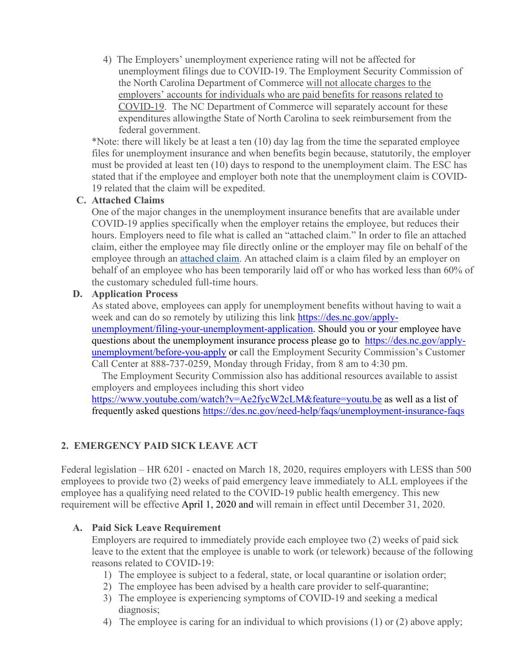4) The Employers' unemployment experience rating will not be affected for unemployment filings due to COVID-19. The Employment Security Commission of the North Carolina Department of Commerce will not allocate charges to the employers' accounts for individuals who are paid benefits for reasons related to COVID-19. The NC Department of Commerce will separately account for these expenditures allowingthe State of North Carolina to seek reimbursement from the federal government.

\*Note: there will likely be at least a ten (10) day lag from the time the separated employee files for unemployment insurance and when benefits begin because, statutorily, the employer must be provided at least ten (10) days to respond to the unemployment claim. The ESC has stated that if the employee and employer both note that the unemployment claim is COVID-19 related that the claim will be expedited.

#### **C. Attached Claims**

One of the major changes in the unemployment insurance benefits that are available under COVID-19 applies specifically when the employer retains the employee, but reduces their hours. Employers need to file what is called an "attached claim." In order to file an attached claim, either the employee may file directly online or the employer may file on behalf of the employee through an [attached claim.](https://des.nc.gov/need-help/faqs/unemployment-insurance-faqs#what-is-an-attached-claim?) An attached claim is a claim filed by an employer on behalf of an employee who has been temporarily laid off or who has worked less than 60% of the customary scheduled full-time hours.

#### **D. Application Process**

As stated above, employees can apply for unemployment benefits without having to wait a week and can do so remotely by utilizing this link [https://des.nc.gov/apply](https://des.nc.gov/apply-unemployment/filing-your-unemployment-application)[unemployment/filing-your-unemployment-application.](https://des.nc.gov/apply-unemployment/filing-your-unemployment-application) Should you or your employee have questions about the unemployment insurance process please go to [https://des.nc.gov/apply](https://des.nc.gov/apply-unemployment/before-you-apply)[unemployment/before-you-apply](https://des.nc.gov/apply-unemployment/before-you-apply) or call the Employment Security Commission's Customer Call Center at 888-737-0259, Monday through Friday, from 8 am to 4:30 pm.

 The Employment Security Commission also has additional resources available to assist employers and employees including this short video

<https://www.youtube.com/watch?v=Ae2fycW2cLM&feature=youtu.be> as well as a list of frequently asked questions<https://des.nc.gov/need-help/faqs/unemployment-insurance-faqs>

### **2. EMERGENCY PAID SICK LEAVE ACT**

Federal legislation – HR 6201 - enacted on March 18, 2020, requires employers with LESS than 500 employees to provide two (2) weeks of paid emergency leave immediately to ALL employees if the employee has a qualifying need related to the COVID-19 public health emergency. This new requirement will be effective April 1, 2020 and will remain in effect until December 31, 2020.

### **A. Paid Sick Leave Requirement**

Employers are required to immediately provide each employee two (2) weeks of paid sick leave to the extent that the employee is unable to work (or telework) because of the following reasons related to COVID-19:

- 1) The employee is subject to a federal, state, or local quarantine or isolation order;
- 2) The employee has been advised by a health care provider to self-quarantine;
- 3) The employee is experiencing symptoms of COVID-19 and seeking a medical diagnosis;
- 4) The employee is caring for an individual to which provisions (1) or (2) above apply;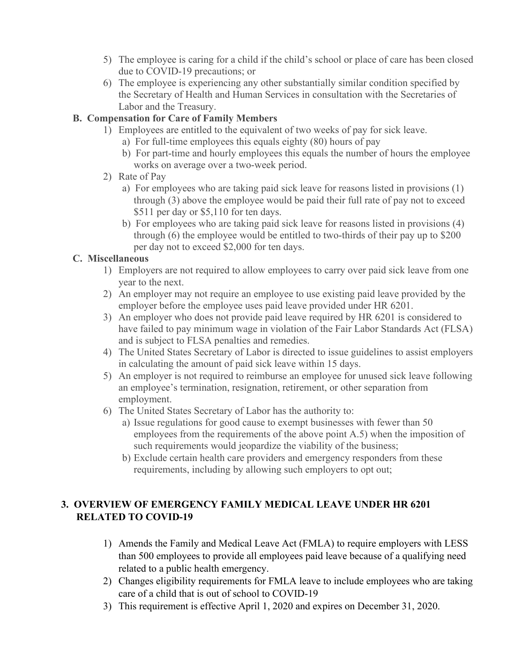- 5) The employee is caring for a child if the child's school or place of care has been closed due to COVID-19 precautions; or
- 6) The employee is experiencing any other substantially similar condition specified by the Secretary of Health and Human Services in consultation with the Secretaries of Labor and the Treasury.

### **B. Compensation for Care of Family Members**

- 1) Employees are entitled to the equivalent of two weeks of pay for sick leave.
	- a) For full-time employees this equals eighty (80) hours of pay
	- b) For part-time and hourly employees this equals the number of hours the employee works on average over a two-week period.
- 2) Rate of Pay
	- a) For employees who are taking paid sick leave for reasons listed in provisions (1) through (3) above the employee would be paid their full rate of pay not to exceed \$511 per day or \$5,110 for ten days.
	- b) For employees who are taking paid sick leave for reasons listed in provisions (4) through (6) the employee would be entitled to two-thirds of their pay up to \$200 per day not to exceed \$2,000 for ten days.

### **C. Miscellaneous**

- 1) Employers are not required to allow employees to carry over paid sick leave from one year to the next.
- 2) An employer may not require an employee to use existing paid leave provided by the employer before the employee uses paid leave provided under HR 6201.
- 3) An employer who does not provide paid leave required by HR 6201 is considered to have failed to pay minimum wage in violation of the Fair Labor Standards Act (FLSA) and is subject to FLSA penalties and remedies.
- 4) The United States Secretary of Labor is directed to issue guidelines to assist employers in calculating the amount of paid sick leave within 15 days.
- 5) An employer is not required to reimburse an employee for unused sick leave following an employee's termination, resignation, retirement, or other separation from employment.
- 6) The United States Secretary of Labor has the authority to:
	- a) Issue regulations for good cause to exempt businesses with fewer than 50 employees from the requirements of the above point A.5) when the imposition of such requirements would jeopardize the viability of the business;
	- b) Exclude certain health care providers and emergency responders from these requirements, including by allowing such employers to opt out;

# **3. OVERVIEW OF EMERGENCY FAMILY MEDICAL LEAVE UNDER HR 6201 RELATED TO COVID-19**

- 1) Amends the Family and Medical Leave Act (FMLA) to require employers with LESS than 500 employees to provide all employees paid leave because of a qualifying need related to a public health emergency.
- 2) Changes eligibility requirements for FMLA leave to include employees who are taking care of a child that is out of school to COVID-19
- 3) This requirement is effective April 1, 2020 and expires on December 31, 2020.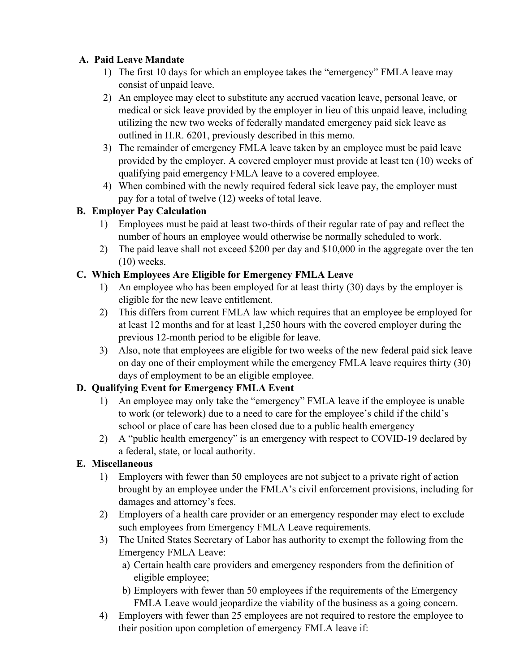## **A. Paid Leave Mandate**

- 1) The first 10 days for which an employee takes the "emergency" FMLA leave may consist of unpaid leave.
- 2) An employee may elect to substitute any accrued vacation leave, personal leave, or medical or sick leave provided by the employer in lieu of this unpaid leave, including utilizing the new two weeks of federally mandated emergency paid sick leave as outlined in H.R. 6201, previously described in this memo.
- 3) The remainder of emergency FMLA leave taken by an employee must be paid leave provided by the employer. A covered employer must provide at least ten (10) weeks of qualifying paid emergency FMLA leave to a covered employee.
- 4) When combined with the newly required federal sick leave pay, the employer must pay for a total of twelve (12) weeks of total leave.

# **B. Employer Pay Calculation**

- 1) Employees must be paid at least two-thirds of their regular rate of pay and reflect the number of hours an employee would otherwise be normally scheduled to work.
- 2) The paid leave shall not exceed \$200 per day and \$10,000 in the aggregate over the ten (10) weeks.

# **C. Which Employees Are Eligible for Emergency FMLA Leave**

- 1) An employee who has been employed for at least thirty (30) days by the employer is eligible for the new leave entitlement.
- 2) This differs from current FMLA law which requires that an employee be employed for at least 12 months and for at least 1,250 hours with the covered employer during the previous 12-month period to be eligible for leave.
- 3) Also, note that employees are eligible for two weeks of the new federal paid sick leave on day one of their employment while the emergency FMLA leave requires thirty (30) days of employment to be an eligible employee.

# **D. Qualifying Event for Emergency FMLA Event**

- 1) An employee may only take the "emergency" FMLA leave if the employee is unable to work (or telework) due to a need to care for the employee's child if the child's school or place of care has been closed due to a public health emergency
- 2) A "public health emergency" is an emergency with respect to COVID-19 declared by a federal, state, or local authority.

# **E. Miscellaneous**

- 1) Employers with fewer than 50 employees are not subject to a private right of action brought by an employee under the FMLA's civil enforcement provisions, including for damages and attorney's fees.
- 2) Employers of a health care provider or an emergency responder may elect to exclude such employees from Emergency FMLA Leave requirements.
- 3) The United States Secretary of Labor has authority to exempt the following from the Emergency FMLA Leave:
	- a) Certain health care providers and emergency responders from the definition of eligible employee;
	- b) Employers with fewer than 50 employees if the requirements of the Emergency FMLA Leave would jeopardize the viability of the business as a going concern.
- 4) Employers with fewer than 25 employees are not required to restore the employee to their position upon completion of emergency FMLA leave if: